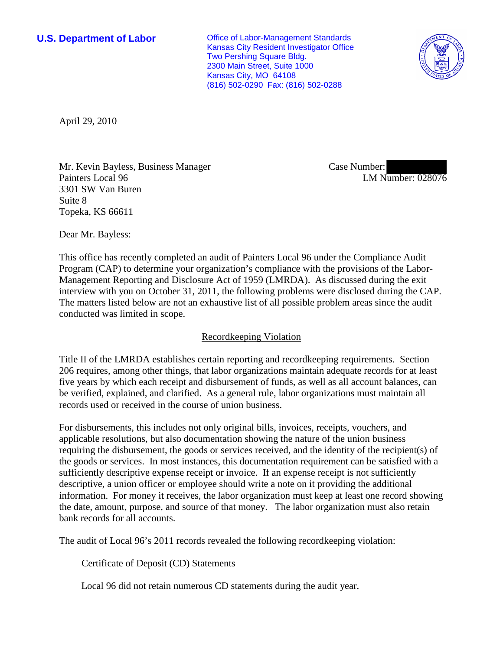**U.S. Department of Labor Office of Labor-Management Standards** Kansas City Resident Investigator Office Two Pershing Square Bldg. 2300 Main Street, Suite 1000 Kansas City, MO 64108 (816) 502-0290 Fax: (816) 502-0288



April 29, 2010

Mr. Kevin Bayless, Business Manager Painters Local 96 3301 SW Van Buren Suite 8 Topeka, KS 66611

Case Number: LM Number: 028076

Dear Mr. Bayless:

This office has recently completed an audit of Painters Local 96 under the Compliance Audit Program (CAP) to determine your organization's compliance with the provisions of the Labor-Management Reporting and Disclosure Act of 1959 (LMRDA). As discussed during the exit interview with you on October 31, 2011, the following problems were disclosed during the CAP. The matters listed below are not an exhaustive list of all possible problem areas since the audit conducted was limited in scope.

## Recordkeeping Violation

Title II of the LMRDA establishes certain reporting and recordkeeping requirements. Section 206 requires, among other things, that labor organizations maintain adequate records for at least five years by which each receipt and disbursement of funds, as well as all account balances, can be verified, explained, and clarified. As a general rule, labor organizations must maintain all records used or received in the course of union business.

For disbursements, this includes not only original bills, invoices, receipts, vouchers, and applicable resolutions, but also documentation showing the nature of the union business requiring the disbursement, the goods or services received, and the identity of the recipient(s) of the goods or services. In most instances, this documentation requirement can be satisfied with a sufficiently descriptive expense receipt or invoice. If an expense receipt is not sufficiently descriptive, a union officer or employee should write a note on it providing the additional information. For money it receives, the labor organization must keep at least one record showing the date, amount, purpose, and source of that money. The labor organization must also retain bank records for all accounts.

The audit of Local 96's 2011 records revealed the following recordkeeping violation:

Certificate of Deposit (CD) Statements

Local 96 did not retain numerous CD statements during the audit year.